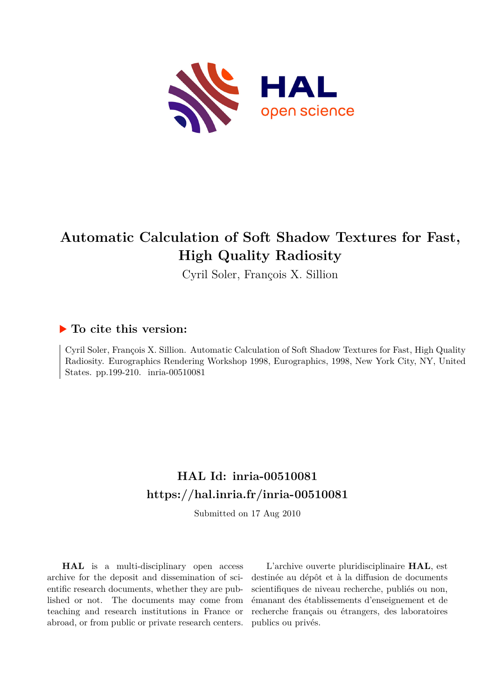

# **Automatic Calculation of Soft Shadow Textures for Fast, High Quality Radiosity**

Cyril Soler, François X. Sillion

# **To cite this version:**

Cyril Soler, François X. Sillion. Automatic Calculation of Soft Shadow Textures for Fast, High Quality Radiosity. Eurographics Rendering Workshop 1998, Eurographics, 1998, New York City, NY, United States. pp.199-210. inria-00510081

# **HAL Id: inria-00510081 <https://hal.inria.fr/inria-00510081>**

Submitted on 17 Aug 2010

**HAL** is a multi-disciplinary open access archive for the deposit and dissemination of scientific research documents, whether they are published or not. The documents may come from teaching and research institutions in France or abroad, or from public or private research centers.

L'archive ouverte pluridisciplinaire **HAL**, est destinée au dépôt et à la diffusion de documents scientifiques de niveau recherche, publiés ou non, émanant des établissements d'enseignement et de recherche français ou étrangers, des laboratoires publics ou privés.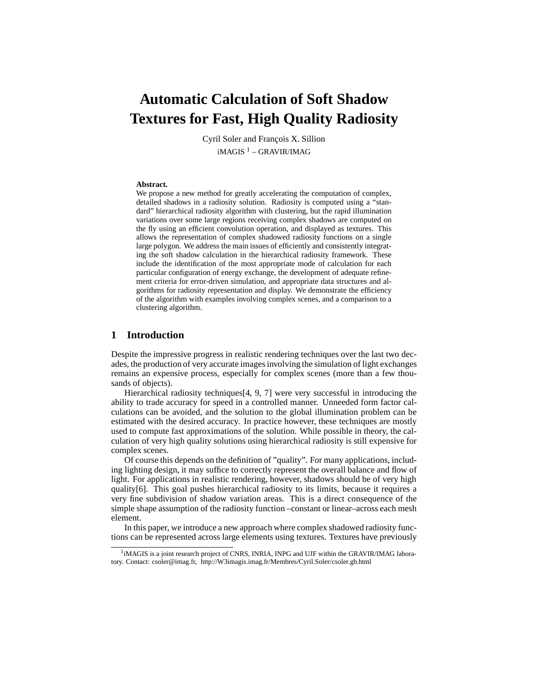# **Automatic Calculation of Soft Shadow Textures for Fast, High Quality Radiosity**

Cyril Soler and François X. Sillion iMAGIS <sup>1</sup> – GRAVIR/IMAG

#### **Abstract.**

We propose a new method for greatly accelerating the computation of complex, detailed shadows in a radiosity solution. Radiosity is computed using a "standard" hierarchical radiosity algorithm with clustering, but the rapid illumination variations over some large regions receiving complex shadows are computed on the fly using an efficient convolution operation, and displayed as textures. This allows the representation of complex shadowed radiosity functions on a single large polygon. We address the main issues of efficiently and consistently integrating the soft shadow calculation in the hierarchical radiosity framework. These include the identification of the most appropriate mode of calculation for each particular configuration of energy exchange, the development of adequate refinement criteria for error-driven simulation, and appropriate data structures and algorithms for radiosity representation and display. We demonstrate the efficiency of the algorithm with examples involving complex scenes, and a comparison to a clustering algorithm.

# **1 Introduction**

Despite the impressive progress in realistic rendering techniques over the last two decades, the production of very accurate images involving the simulation of light exchanges remains an expensive process, especially for complex scenes (more than a few thousands of objects).

Hierarchical radiosity techniques[4, 9, 7] were very successful in introducing the ability to trade accuracy for speed in a controlled manner. Unneeded form factor calculations can be avoided, and the solution to the global illumination problem can be estimated with the desired accuracy. In practice however, these techniques are mostly used to compute fast approximations of the solution. While possible in theory, the calculation of very high quality solutions using hierarchical radiosity is still expensive for complex scenes.

Of course this depends on the definition of "quality". For many applications, including lighting design, it may suffice to correctly represent the overall balance and flow of light. For applications in realistic rendering, however, shadows should be of very high quality[6]. This goal pushes hierarchical radiosity to its limits, because it requires a very fine subdivision of shadow variation areas. This is a direct consequence of the simple shape assumption of the radiosity function –constant or linear–across each mesh element.

In this paper, we introduce a new approach where complex shadowed radiosity functions can be represented across large elements using textures. Textures have previously

<sup>&</sup>lt;sup>1</sup>iMAGIS is a joint research project of CNRS, INRIA, INPG and UJF within the GRAVIR/IMAG laboratory. Contact: csoler@imag.fr, http://W3imagis.imag.fr/Membres/Cyril.Soler/csoler.gb.html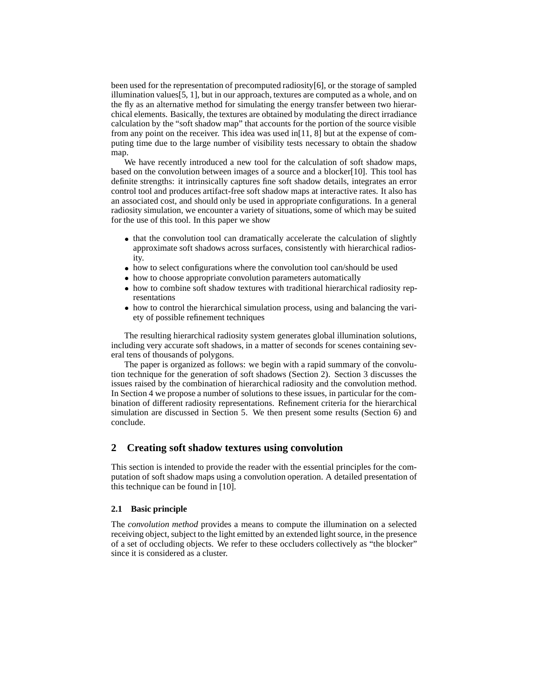been used for the representation of precomputed radiosity[6], or the storage of sampled illumination values[5, 1], but in our approach, textures are computed as a whole, and on the fly as an alternative method for simulating the energy transfer between two hierarchical elements. Basically, the textures are obtained by modulating the direct irradiance calculation by the "soft shadow map" that accounts for the portion of the source visible from any point on the receiver. This idea was used in $[11, 8]$  but at the expense of computing time due to the large number of visibility tests necessary to obtain the shadow map.

We have recently introduced a new tool for the calculation of soft shadow maps, based on the convolution between images of a source and a blocker[10]. This tool has definite strengths: it intrinsically captures fine soft shadow details, integrates an error control tool and produces artifact-free soft shadow maps at interactive rates. It also has an associated cost, and should only be used in appropriate configurations. In a general radiosity simulation, we encounter a variety of situations, some of which may be suited for the use of this tool. In this paper we show

- that the convolution tool can dramatically accelerate the calculation of slightly approximate soft shadows across surfaces, consistently with hierarchical radiosity.
- how to select configurations where the convolution tool can/should be used
- how to choose appropriate convolution parameters automatically
- how to combine soft shadow textures with traditional hierarchical radiosity representations
- how to control the hierarchical simulation process, using and balancing the variety of possible refinement techniques

The resulting hierarchical radiosity system generates global illumination solutions, including very accurate soft shadows, in a matter of seconds for scenes containing several tens of thousands of polygons.

The paper is organized as follows: we begin with a rapid summary of the convolution technique for the generation of soft shadows (Section 2). Section 3 discusses the issues raised by the combination of hierarchical radiosity and the convolution method. In Section 4 we propose a number of solutions to these issues, in particular for the combination of different radiosity representations. Refinement criteria for the hierarchical simulation are discussed in Section 5. We then present some results (Section 6) and conclude.

## **2 Creating soft shadow textures using convolution**

This section is intended to provide the reader with the essential principles for the computation of soft shadow maps using a convolution operation. A detailed presentation of this technique can be found in [10].

#### **2.1 Basic principle**

The *convolution method* provides a means to compute the illumination on a selected receiving object, subject to the light emitted by an extended light source, in the presence of a set of occluding objects. We refer to these occluders collectively as "the blocker" since it is considered as a cluster.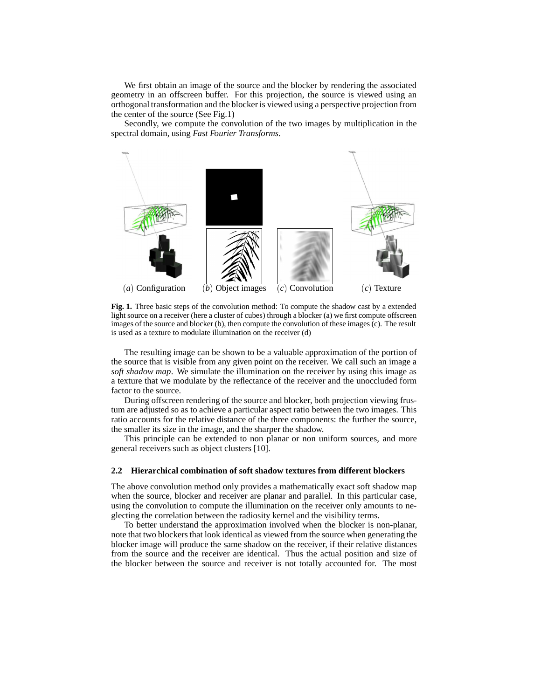We first obtain an image of the source and the blocker by rendering the associated geometry in an offscreen buffer. For this projection, the source is viewed using an orthogonal transformation and the blocker is viewed using a perspective projection from the center of the source (See Fig.1)

Secondly, we compute the convolution of the two images by multiplication in the spectral domain, using *Fast Fourier Transforms*.



**Fig. 1.** Three basic steps of the convolution method: To compute the shadow cast by a extended light source on a receiver (here a cluster of cubes) through a blocker (a) we first compute offscreen images of the source and blocker (b), then compute the convolution of these images (c). The result is used as a texture to modulate illumination on the receiver (d)

The resulting image can be shown to be a valuable approximation of the portion of the source that is visible from any given point on the receiver. We call such an image a *soft shadow map*. We simulate the illumination on the receiver by using this image as a texture that we modulate by the reflectance of the receiver and the unoccluded form factor to the source.

During offscreen rendering of the source and blocker, both projection viewing frustum are adjusted so as to achieve a particular aspect ratio between the two images. This ratio accounts for the relative distance of the three components: the further the source, the smaller its size in the image, and the sharper the shadow.

This principle can be extended to non planar or non uniform sources, and more general receivers such as object clusters [10].

#### **2.2 Hierarchical combination of soft shadow textures from different blockers**

The above convolution method only provides a mathematically exact soft shadow map when the source, blocker and receiver are planar and parallel. In this particular case, using the convolution to compute the illumination on the receiver only amounts to neglecting the correlation between the radiosity kernel and the visibility terms.

To better understand the approximation involved when the blocker is non-planar, note that two blockers that look identical as viewed from the source when generating the blocker image will produce the same shadow on the receiver, if their relative distances from the source and the receiver are identical. Thus the actual position and size of the blocker between the source and receiver is not totally accounted for. The most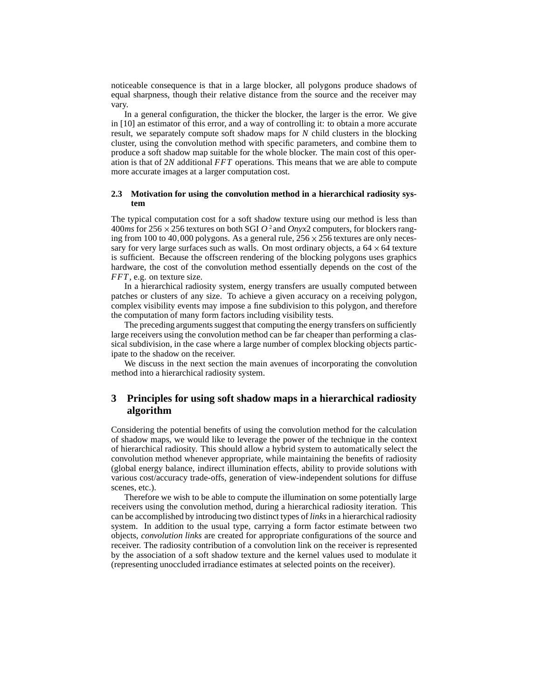noticeable consequence is that in a large blocker, all polygons produce shadows of equal sharpness, though their relative distance from the source and the receiver may vary.

In a general configuration, the thicker the blocker, the larger is the error. We give in [10] an estimator of this error, and a way of controlling it: to obtain a more accurate result, we separately compute soft shadow maps for *N* child clusters in the blocking cluster, using the convolution method with specific parameters, and combine them to produce a soft shadow map suitable for the whole blocker. The main cost of this operation is that of 2*N* additional *FFT* operations. This means that we are able to compute more accurate images at a larger computation cost.

## **2.3 Motivation for using the convolution method in a hierarchical radiosity system**

The typical computation cost for a soft shadow texture using our method is less than 400*ms* for 256  $\times$  256 textures on both SGI  $O^2$  and  $Onyx2$  computers, for blockers ranging from 100 to 40,000 polygons. As a general rule,  $256 \times 256$  textures are only necessary for very large surfaces such as walls. On most ordinary objects, a  $64 \times 64$  texture is sufficient. Because the offscreen rendering of the blocking polygons uses graphics hardware, the cost of the convolution method essentially depends on the cost of the *FFT*, e.g. on texture size.

In a hierarchical radiosity system, energy transfers are usually computed between patches or clusters of any size. To achieve a given accuracy on a receiving polygon, complex visibility events may impose a fine subdivision to this polygon, and therefore the computation of many form factors including visibility tests.

The preceding arguments suggest that computing the energy transfers on sufficiently large receivers using the convolution method can be far cheaper than performing a classical subdivision, in the case where a large number of complex blocking objects participate to the shadow on the receiver.

We discuss in the next section the main avenues of incorporating the convolution method into a hierarchical radiosity system.

# **3 Principles for using soft shadow maps in a hierarchical radiosity algorithm**

Considering the potential benefits of using the convolution method for the calculation of shadow maps, we would like to leverage the power of the technique in the context of hierarchical radiosity. This should allow a hybrid system to automatically select the convolution method whenever appropriate, while maintaining the benefits of radiosity (global energy balance, indirect illumination effects, ability to provide solutions with various cost/accuracy trade-offs, generation of view-independent solutions for diffuse scenes, etc.).

Therefore we wish to be able to compute the illumination on some potentially large receivers using the convolution method, during a hierarchical radiosity iteration. This can be accomplished by introducing two distinct types of *links*in a hierarchical radiosity system. In addition to the usual type, carrying a form factor estimate between two objects, *convolution links* are created for appropriate configurations of the source and receiver. The radiosity contribution of a convolution link on the receiver is represented by the association of a soft shadow texture and the kernel values used to modulate it (representing unoccluded irradiance estimates at selected points on the receiver).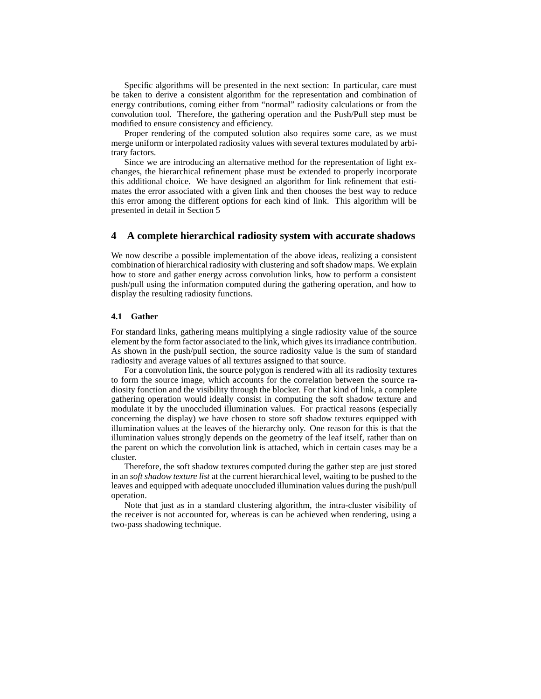Specific algorithms will be presented in the next section: In particular, care must be taken to derive a consistent algorithm for the representation and combination of energy contributions, coming either from "normal" radiosity calculations or from the convolution tool. Therefore, the gathering operation and the Push/Pull step must be modified to ensure consistency and efficiency.

Proper rendering of the computed solution also requires some care, as we must merge uniform or interpolated radiosity values with several textures modulated by arbitrary factors.

Since we are introducing an alternative method for the representation of light exchanges, the hierarchical refinement phase must be extended to properly incorporate this additional choice. We have designed an algorithm for link refinement that estimates the error associated with a given link and then chooses the best way to reduce this error among the different options for each kind of link. This algorithm will be presented in detail in Section 5

# **4 A complete hierarchical radiosity system with accurate shadows**

We now describe a possible implementation of the above ideas, realizing a consistent combination of hierarchical radiosity with clustering and soft shadow maps. We explain how to store and gather energy across convolution links, how to perform a consistent push/pull using the information computed during the gathering operation, and how to display the resulting radiosity functions.

#### **4.1 Gather**

For standard links, gathering means multiplying a single radiosity value of the source element by the form factor associated to the link, which gives its irradiance contribution. As shown in the push/pull section, the source radiosity value is the sum of standard radiosity and average values of all textures assigned to that source.

For a convolution link, the source polygon is rendered with all its radiosity textures to form the source image, which accounts for the correlation between the source radiosity fonction and the visibility through the blocker. For that kind of link, a complete gathering operation would ideally consist in computing the soft shadow texture and modulate it by the unoccluded illumination values. For practical reasons (especially concerning the display) we have chosen to store soft shadow textures equipped with illumination values at the leaves of the hierarchy only. One reason for this is that the illumination values strongly depends on the geometry of the leaf itself, rather than on the parent on which the convolution link is attached, which in certain cases may be a cluster.

Therefore, the soft shadow textures computed during the gather step are just stored in an *soft shadow texture list* at the current hierarchical level, waiting to be pushed to the leaves and equipped with adequate unoccluded illumination values during the push/pull operation.

Note that just as in a standard clustering algorithm, the intra-cluster visibility of the receiver is not accounted for, whereas is can be achieved when rendering, using a two-pass shadowing technique.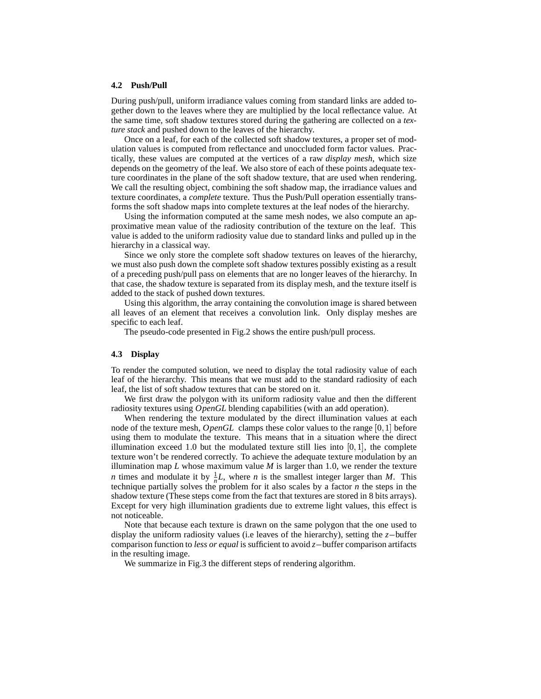#### **4.2 Push/Pull**

During push/pull, uniform irradiance values coming from standard links are added together down to the leaves where they are multiplied by the local reflectance value. At the same time, soft shadow textures stored during the gathering are collected on a *texture stack* and pushed down to the leaves of the hierarchy.

Once on a leaf, for each of the collected soft shadow textures, a proper set of modulation values is computed from reflectance and unoccluded form factor values. Practically, these values are computed at the vertices of a raw *display mesh*, which size depends on the geometry of the leaf. We also store of each of these points adequate texture coordinates in the plane of the soft shadow texture, that are used when rendering. We call the resulting object, combining the soft shadow map, the irradiance values and texture coordinates, a *complete* texture. Thus the Push/Pull operation essentially transforms the soft shadow maps into complete textures at the leaf nodes of the hierarchy.

Using the information computed at the same mesh nodes, we also compute an approximative mean value of the radiosity contribution of the texture on the leaf. This value is added to the uniform radiosity value due to standard links and pulled up in the hierarchy in a classical way.

Since we only store the complete soft shadow textures on leaves of the hierarchy, we must also push down the complete soft shadow textures possibly existing as a result of a preceding push/pull pass on elements that are no longer leaves of the hierarchy. In that case, the shadow texture is separated from its display mesh, and the texture itself is added to the stack of pushed down textures.

Using this algorithm, the array containing the convolution image is shared between all leaves of an element that receives a convolution link. Only display meshes are specific to each leaf.

The pseudo-code presented in Fig.2 shows the entire push/pull process.

#### **4.3 Display**

To render the computed solution, we need to display the total radiosity value of each leaf of the hierarchy. This means that we must add to the standard radiosity of each leaf, the list of soft shadow textures that can be stored on it.

We first draw the polygon with its uniform radiosity value and then the different radiosity textures using *OpenGL* blending capabilities (with an add operation).

When rendering the texture modulated by the direct illumination values at each node of the texture mesh, *OpenGL* clamps these color values to the range [0, 1] before using them to modulate the texture. This means that in a situation where the direct illumination exceed 1.0 but the modulated texture still lies into  $[0, 1]$ , the complete texture won't be rendered correctly. To achieve the adequate texture modulation by an illumination map  $L$  whose maximum value  $M$  is larger than 1.0, we render the texture *n* times and modulate it by  $\frac{1}{n}L$ , where *n* is the smallest integer larger than *M*. This technique partially solves the problem for it also scales by a factor  $n$  the steps in the shadow texture (These steps come from the fact that textures are stored in 8 bits arrays). Except for very high illumination gradients due to extreme light values, this effect is not noticeable.

Note that because each texture is drawn on the same polygon that the one used to display the uniform radiosity values (i.e leaves of the hierarchy), setting the  $z$ -buffer comparison function to *less or equal* is sufficient to avoid *z*-buffer comparison artifacts in the resulting image.

We summarize in Fig.3 the different steps of rendering algorithm.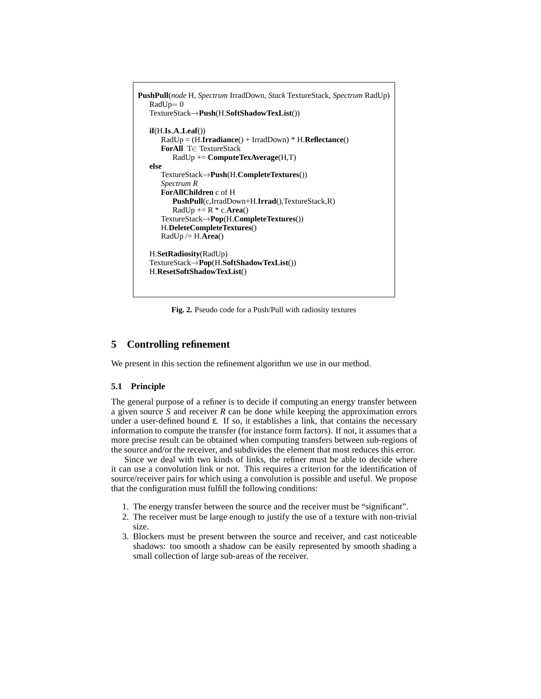```
PushPull(node H, Spectrum IrradDown, Stack TextureStack, Spectrum RadUp)
RadUp = 0TextureStack!Push(H.SoftShadowTexList())
if(H.Is A Leaf())
   RadUp = (H.Irradiance() + IrradDown) * H.Reflectance()
   ForAll T∈ TextureStack
      RadUp += ComputeTexAverage(H,T)
else
   TextureStack!Push(H.CompleteTextures())
   Spectrum R
   ForAllChildren c of H
      PushPull(c,IrradDown+H.Irrad(),TextureStack,R)
      RadUp += R * c \cdot Area()TextureStack!Pop(H.CompleteTextures())
   H.DeleteCompleteTextures()
   RadUp /= H.Area()
H.SetRadiosity(RadUp)
TextureStack!Pop(H.SoftShadowTexList())
H.ResetSoftShadowTexList()
```
**Fig. 2.** Pseudo code for a Push/Pull with radiosity textures

# **5 Controlling refinement**

We present in this section the refinement algorithm we use in our method.

#### **5.1 Principle**

The general purpose of a refiner is to decide if computing an energy transfer between a given source *S* and receiver *R* can be done while keeping the approximation errors under a user-defined bound ε. If so, it establishes a link, that contains the necessary information to compute the transfer (for instance form factors). If not, it assumes that a more precise result can be obtained when computing transfers between sub-regions of the source and/or the receiver, and subdivides the element that most reduces this error.

Since we deal with two kinds of links, the refiner must be able to decide where it can use a convolution link or not. This requires a criterion for the identification of source/receiver pairs for which using a convolution is possible and useful. We propose that the configuration must fulfill the following conditions:

- 1. The energy transfer between the source and the receiver must be "significant".
- 2. The receiver must be large enough to justify the use of a texture with non-trivial size.
- 3. Blockers must be present between the source and receiver, and cast noticeable shadows: too smooth a shadow can be easily represented by smooth shading a small collection of large sub-areas of the receiver.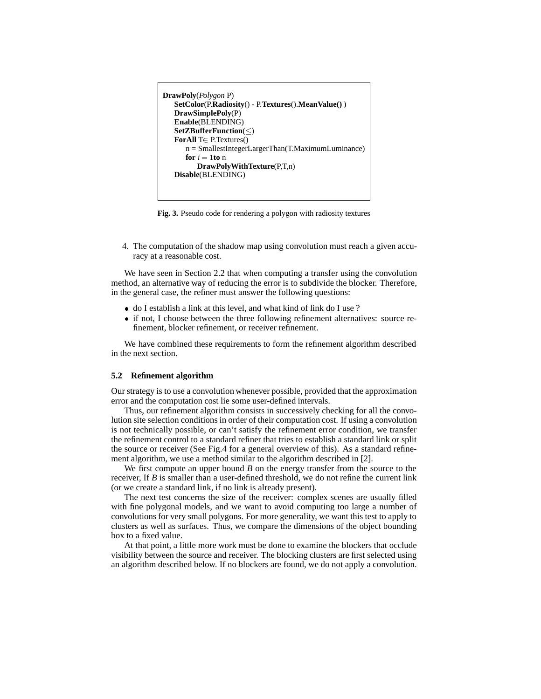```
DrawPoly(Polygon P)
SetColor(P.Radiosity() - P.Textures().MeanValue() )
DrawSimplePoly(P)
Enable(BLENDING)
SetZBufferFunction()
ForAll T\in P.Textures()
   n = SmallestIntegerLargerThan(T.MaximumLuminance)
   for i = 1to n
      DrawPolyWithTexture(P,T,n)
Disable(BLENDING)
```
**Fig. 3.** Pseudo code for rendering a polygon with radiosity textures

4. The computation of the shadow map using convolution must reach a given accuracy at a reasonable cost.

We have seen in Section 2.2 that when computing a transfer using the convolution method, an alternative way of reducing the error is to subdivide the blocker. Therefore, in the general case, the refiner must answer the following questions:

- do I establish a link at this level, and what kind of link do I use ?
- if not, I choose between the three following refinement alternatives: source refinement, blocker refinement, or receiver refinement.

We have combined these requirements to form the refinement algorithm described in the next section.

#### **5.2 Refinement algorithm**

Our strategy is to use a convolution whenever possible, provided that the approximation error and the computation cost lie some user-defined intervals.

Thus, our refinement algorithm consists in successively checking for all the convolution site selection conditions in order of their computation cost. If using a convolution is not technically possible, or can't satisfy the refinement error condition, we transfer the refinement control to a standard refiner that tries to establish a standard link or split the source or receiver (See Fig.4 for a general overview of this). As a standard refinement algorithm, we use a method similar to the algorithm described in [2].

We first compute an upper bound *B* on the energy transfer from the source to the receiver, If *B* is smaller than a user-defined threshold, we do not refine the current link (or we create a standard link, if no link is already present).

The next test concerns the size of the receiver: complex scenes are usually filled with fine polygonal models, and we want to avoid computing too large a number of convolutions for very small polygons. For more generality, we want this test to apply to clusters as well as surfaces. Thus, we compare the dimensions of the object bounding box to a fixed value.

At that point, a little more work must be done to examine the blockers that occlude visibility between the source and receiver. The blocking clusters are first selected using an algorithm described below. If no blockers are found, we do not apply a convolution.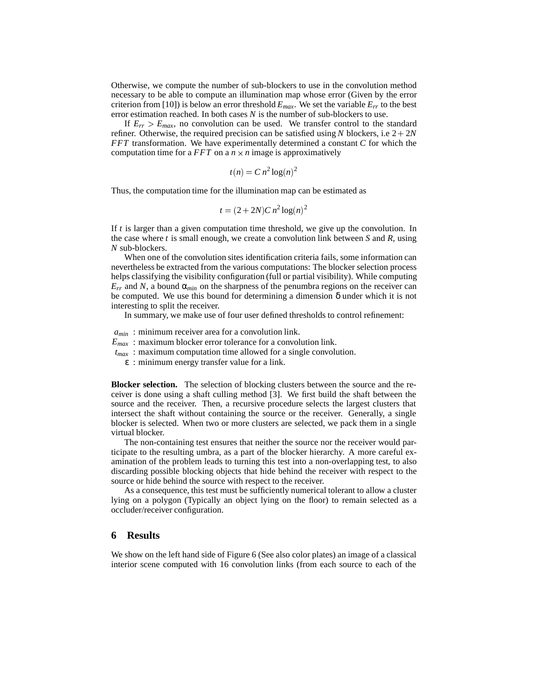Otherwise, we compute the number of sub-blockers to use in the convolution method necessary to be able to compute an illumination map whose error (Given by the error criterion from [10]) is below an error threshold  $E_{max}$ . We set the variable  $E_{rr}$  to the best error estimation reached. In both cases *N* is the number of sub-blockers to use.

If  $E_{rr} > E_{max}$ , no convolution can be used. We transfer control to the standard refiner. Otherwise, the required precision can be satisfied using  $N$  blockers, i.e  $2 + 2N$ *FFT* transformation. We have experimentally determined a constant *C* for which the computation time for a  $FFT$  on a  $n \times n$  image is approximatively

$$
t(n) = C n^2 \log(n)^2
$$

Thus, the computation time for the illumination map can be estimated as

$$
t = (2+2N)C n^2 \log(n)^2
$$

If *t* is larger than a given computation time threshold, we give up the convolution. In the case where *t* is small enough, we create a convolution link between *S* and *R*, using *N* sub-blockers.

When one of the convolution sites identification criteria fails, some information can nevertheless be extracted from the various computations: The blocker selection process helps classifying the visibility configuration (full or partial visibility). While computing  $E_{rr}$  and *N*, a bound  $\alpha_{min}$  on the sharpness of the penumbra regions on the receiver can be computed. We use this bound for determining a dimension  $\delta$  under which it is not interesting to split the receiver.

In summary, we make use of four user defined thresholds to control refinement:

*amin* : minimum receiver area for a convolution link.

*Emax* : maximum blocker error tolerance for a convolution link.

*tmax* : maximum computation time allowed for a single convolution.

ε : minimum energy transfer value for a link.

**Blocker selection.** The selection of blocking clusters between the source and the receiver is done using a shaft culling method [3]. We first build the shaft between the source and the receiver. Then, a recursive procedure selects the largest clusters that intersect the shaft without containing the source or the receiver. Generally, a single blocker is selected. When two or more clusters are selected, we pack them in a single virtual blocker.

The non-containing test ensures that neither the source nor the receiver would participate to the resulting umbra, as a part of the blocker hierarchy. A more careful examination of the problem leads to turning this test into a non-overlapping test, to also discarding possible blocking objects that hide behind the receiver with respect to the source or hide behind the source with respect to the receiver.

As a consequence, this test must be sufficiently numerical tolerant to allow a cluster lying on a polygon (Typically an object lying on the floor) to remain selected as a occluder/receiver configuration.

#### **6 Results**

We show on the left hand side of Figure 6 (See also color plates) an image of a classical interior scene computed with 16 convolution links (from each source to each of the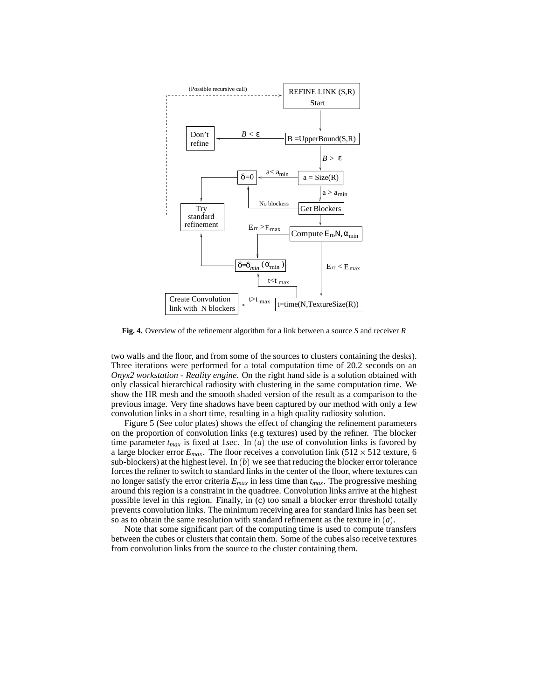

**Fig. 4.** Overview of the refinement algorithm for a link between a source *S* and receiver *R*

two walls and the floor, and from some of the sources to clusters containing the desks). Three iterations were performed for a total computation time of 20:2 seconds on an *Onyx2 workstation - Reality engine*. On the right hand side is a solution obtained with only classical hierarchical radiosity with clustering in the same computation time. We show the HR mesh and the smooth shaded version of the result as a comparison to the previous image. Very fine shadows have been captured by our method with only a few convolution links in a short time, resulting in a high quality radiosity solution.

Figure 5 (See color plates) shows the effect of changing the refinement parameters on the proportion of convolution links (e.g textures) used by the refiner. The blocker time parameter  $t_{max}$  is fixed at 1*sec*. In (*a*) the use of convolution links is favored by a large blocker error  $E_{max}$ . The floor receives a convolution link (512  $\times$  512 texture, 6 sub-blockers) at the highest level. In (*b*) we see that reducing the blocker error tolerance forces the refiner to switch to standard links in the center of the floor, where textures can no longer satisfy the error criteria  $E_{max}$  in less time than  $t_{max}$ . The progressive meshing around this region is a constraint in the quadtree. Convolution links arrive at the highest possible level in this region. Finally, in (c) too small a blocker error threshold totally prevents convolution links. The minimum receiving area for standard links has been set so as to obtain the same resolution with standard refinement as the texture in (*a*).

Note that some significant part of the computing time is used to compute transfers between the cubes or clusters that contain them. Some of the cubes also receive textures from convolution links from the source to the cluster containing them.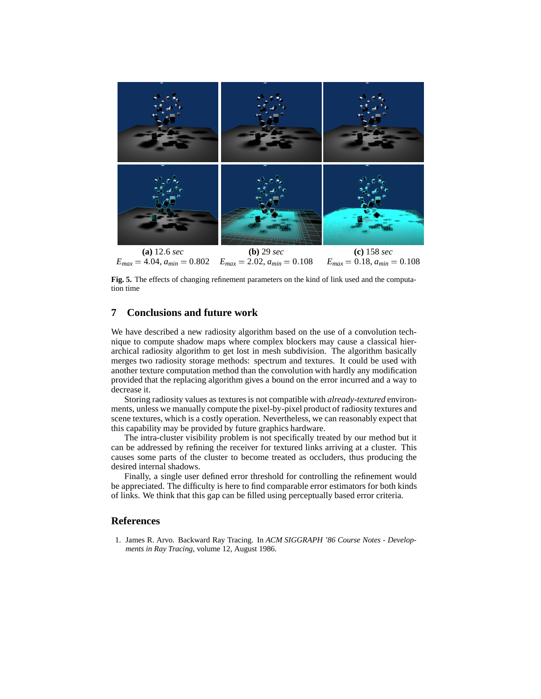

**(a)** 12.6 *sec* **(b)** 29 *sec* **(c)** 158 *sec* **(c)** 158 *sec* **4.04**,  $a_{min} = 0.802$   $E_{max} = 2.02$ ,  $a_{min} = 0.108$   $E_{max} = 0.18$ ,  $a_{min} = 0.108$  $E_{max} = 4.04$ ,  $a_{min} = 0.802$   $E_{max} = 2.02$ ,  $a_{min} = 0.108$ 

**Fig. 5.** The effects of changing refinement parameters on the kind of link used and the computation time

# **7 Conclusions and future work**

We have described a new radiosity algorithm based on the use of a convolution technique to compute shadow maps where complex blockers may cause a classical hierarchical radiosity algorithm to get lost in mesh subdivision. The algorithm basically merges two radiosity storage methods: spectrum and textures. It could be used with another texture computation method than the convolution with hardly any modification provided that the replacing algorithm gives a bound on the error incurred and a way to decrease it.

Storing radiosity values as textures is not compatible with *already-textured* environments, unless we manually compute the pixel-by-pixel product of radiosity textures and scene textures, which is a costly operation. Nevertheless, we can reasonably expect that this capability may be provided by future graphics hardware.

The intra-cluster visibility problem is not specifically treated by our method but it can be addressed by refining the receiver for textured links arriving at a cluster. This causes some parts of the cluster to become treated as occluders, thus producing the desired internal shadows.

Finally, a single user defined error threshold for controlling the refinement would be appreciated. The difficulty is here to find comparable error estimators for both kinds of links. We think that this gap can be filled using perceptually based error criteria.

### **References**

1. James R. Arvo. Backward Ray Tracing. In *ACM SIGGRAPH '86 Course Notes - Developments in Ray Tracing*, volume 12, August 1986.